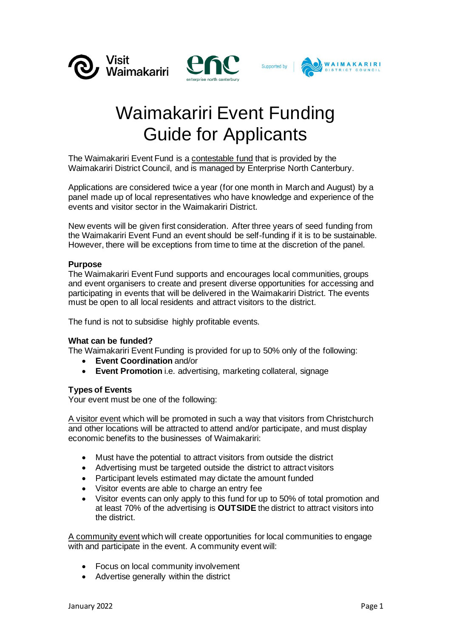





# Waimakariri Event Funding Guide for Applicants

The Waimakariri Event Fund is a contestable fund that is provided by the Waimakariri District Council, and is managed by Enterprise North Canterbury.

Applications are considered twice a year (for one month in March and August) by a panel made up of local representatives who have knowledge and experience of the events and visitor sector in the Waimakariri District.

New events will be given first consideration. After three years of seed funding from the Waimakariri Event Fund an event should be self-funding if it is to be sustainable. However, there will be exceptions from time to time at the discretion of the panel.

## **Purpose**

The Waimakariri Event Fund supports and encourages local communities, groups and event organisers to create and present diverse opportunities for accessing and participating in events that will be delivered in the Waimakariri District. The events must be open to all local residents and attract visitors to the district.

The fund is not to subsidise highly profitable events.

## **What can be funded?**

The Waimakariri Event Funding is provided for up to 50% only of the following:

- **Event Coordination** and/or
- **Event Promotion** i.e. advertising, marketing collateral, signage

## **Types of Events**

Your event must be one of the following:

A visitor event which will be promoted in such a way that visitors from Christchurch and other locations will be attracted to attend and/or participate, and must display economic benefits to the businesses of Waimakariri:

- Must have the potential to attract visitors from outside the district
- Advertising must be targeted outside the district to attract visitors
- Participant levels estimated may dictate the amount funded
- Visitor events are able to charge an entry fee
- Visitor events can only apply to this fund for up to 50% of total promotion and at least 70% of the advertising is **OUTSIDE** the district to attract visitors into the district.

A community event which will create opportunities for local communities to engage with and participate in the event. A community event will:

- Focus on local community involvement
- Advertise generally within the district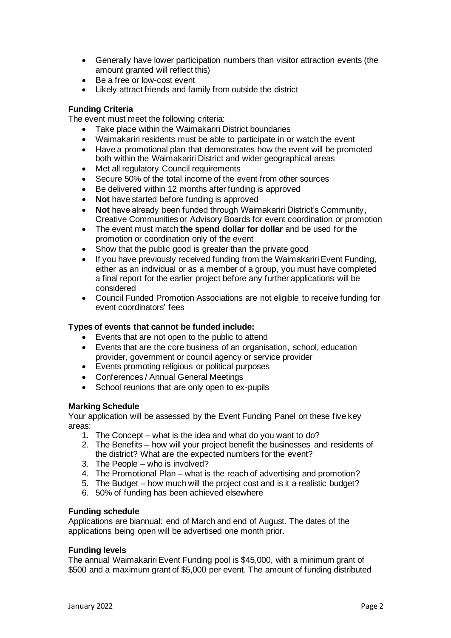- Generally have lower participation numbers than visitor attraction events (the amount granted will reflect this)
- Be a free or low-cost event
- Likely attract friends and family from outside the district

## **Funding Criteria**

The event must meet the following criteria:

- Take place within the Waimakariri District boundaries
- Waimakariri residents must be able to participate in or watch the event
- Have a promotional plan that demonstrates how the event will be promoted both within the Waimakariri District and wider geographical areas
- Met all regulatory Council requirements
- Secure 50% of the total income of the event from other sources
- Be delivered within 12 months after funding is approved
- **Not** have started before funding is approved
- **Not** have already been funded through Waimakariri District's Community, Creative Communities or Advisory Boards for event coordination or promotion
- The event must match **the spend dollar for dollar** and be used for the promotion or coordination only of the event
- Show that the public good is greater than the private good
- If you have previously received funding from the Waimakariri Event Funding, either as an individual or as a member of a group, you must have completed a final report for the earlier project before any further applications will be considered
- Council Funded Promotion Associations are not eligible to receive funding for event coordinators' fees

## **Types of events that cannot be funded include:**

- Events that are not open to the public to attend
- Events that are the core business of an organisation, school, education provider, government or council agency or service provider
- Events promoting religious or political purposes
- Conferences / Annual General Meetings
- School reunions that are only open to ex-pupils

## **Marking Schedule**

Your application will be assessed by the Event Funding Panel on these five key areas:

- 1. The Concept what is the idea and what do you want to do?
- 2. The Benefits how will your project benefit the businesses and residents of the district? What are the expected numbers for the event?
- 3. The People who is involved?
- 4. The Promotional Plan what is the reach of advertising and promotion?
- 5. The Budget how much will the project cost and is it a realistic budget?
- 6. 50% of funding has been achieved elsewhere

## **Funding schedule**

Applications are biannual: end of March and end of August. The dates of the applications being open will be advertised one month prior.

## **Funding levels**

The annual Waimakariri Event Funding pool is \$45,000, with a minimum grant of \$500 and a maximum grant of \$5,000 per event. The amount of funding distributed